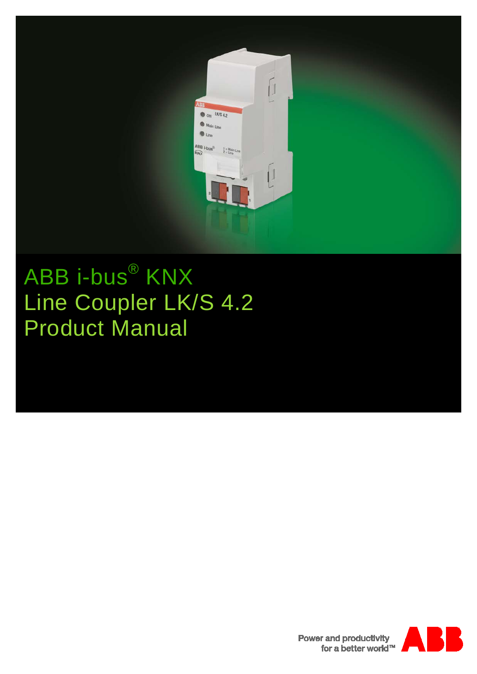

# ABB i-bus® KNX Line Coupler LK/S 4.2 Product Manual



**Power and productivity** for a better world™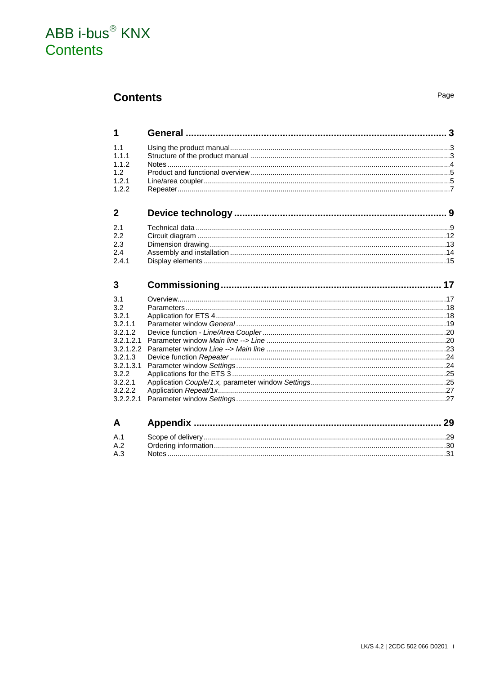### ABB i-bus<sup>®</sup> KNX Contents

### **Contents**

 $\mathbf 1$ 

 $11$ 

 $1.1.1$ 

 $1.1.2$  $1.2$ 

 $1.2.1$  $1.2.2$ 

 $\mathbf{2}$ 

 $2.1$ 

2.2

 $23$ 

 $24$  $2.4.1$ 

 $\overline{3}$ 

 $3.1$ 

 $32$ 

 $3.2.1$  $3.2.1.1$ 

 $3.2.1.2$ 

 $3.2.1.3$ 

 $3.2.2$ 

 $3.2.2.1$ 

 $3.2.2.2$ 

 $\mathbf{A}$ 

 $3.2.2.2.1$ 

 $3.2.1.3.1$ 

 $3.2.1.2.1$  $3.2.1.2.2$ 

Parameters and the contract of the contract of the contract of the contract of the contract of the contract of the contract of the contract of the contract of the contract of the contract of the contract of the contract of Annondiu  $\Omega$ 

Page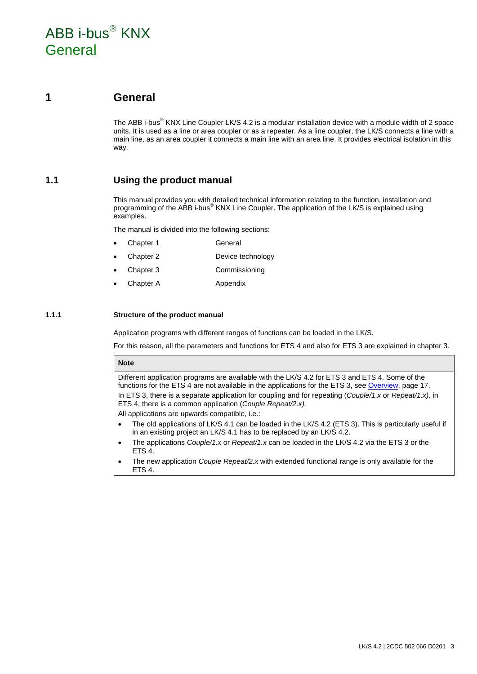### ABB i-bus $^{\circ}$  KNX General

### <span id="page-4-0"></span>**1 General**

The ABB i-bus<sup>®</sup> KNX Line Coupler LK/S 4.2 is a modular installation device with a module width of 2 space units. It is used as a line or area coupler or as a repeater. As a line coupler, the LK/S connects a line with a main line, as an area coupler it connects a main line with an area line. It provides electrical isolation in this way.

### <span id="page-4-1"></span>**1.1 Using the product manual**

This manual provides you with detailed technical information relating to the function, installation and programming of the ABB i-bus<sup>®</sup> KNX Line Coupler. The application of the LK/S is explained using examples.

The manual is divided into the following sections:

- Chapter 1 General
- Chapter 2 Device technology
- Chapter 3 Commissioning
- Chapter A Appendix

#### <span id="page-4-2"></span>**1.1.1 Structure of the product manual**

Application programs with different ranges of functions can be loaded in the LK/S.

For this reason, all the parameters and functions for ETS 4 and also for ETS 3 are explained in chapter 3.

#### **Note**

Different application programs are available with the LK/S 4.2 for ETS 3 and ETS 4. Some of the functions for the ETS 4 are not available in the applications for the ETS 3, se[e Overview,](#page-18-1) page [17.](#page-18-1) In ETS 3, there is a separate application for coupling and for repeating (*Couple/1.x* or *Repeat/1.x),* in ETS 4, there is a common application (*Couple Repeat/2.x).* 

All applications are upwards compatible, i.e.:

- The old applications of LK/S 4.1 can be loaded in the LK/S 4.2 (ETS 3). This is particularly useful if in an existing project an LK/S 4.1 has to be replaced by an LK/S 4.2.
- The applications *Couple/1.x* or *Repeat/1.x* can be loaded in the LK/S 4.2 via the ETS 3 or the ETS 4.
- The new application *Couple Repeat/2.x* with extended functional range is only available for the ETS 4.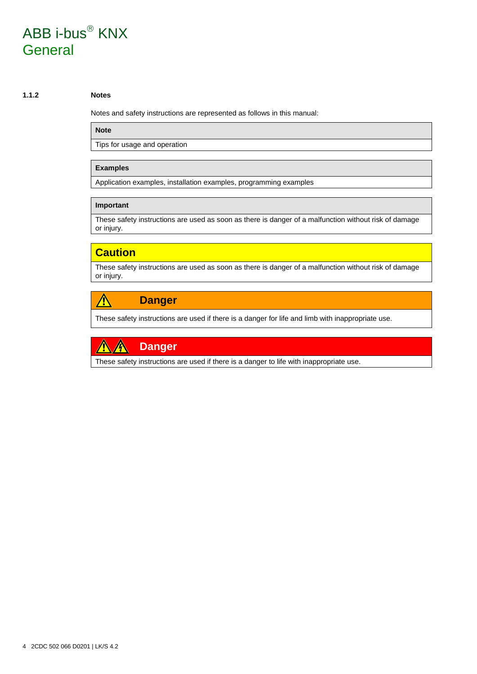# ABB i-bus<sup>®</sup> KNX General

#### <span id="page-5-0"></span>**1.1.2 Notes**

Notes and safety instructions are represented as follows in this manual:

#### **Note**

Tips for usage and operation

#### **Examples**

Application examples, installation examples, programming examples

#### **Important**

These safety instructions are used as soon as there is danger of a malfunction without risk of damage or injury.

### **Caution**

These safety instructions are used as soon as there is danger of a malfunction without risk of damage or injury.

#### **Danger** Ą

These safety instructions are used if there is a danger for life and limb with inappropriate use.



These safety instructions are used if there is a danger to life with inappropriate use.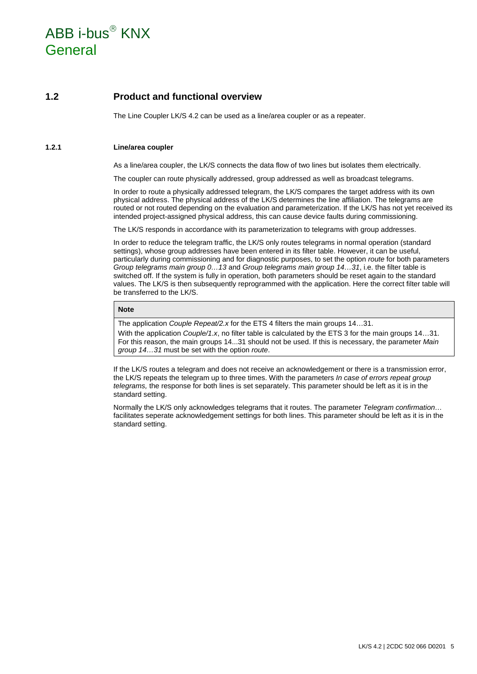# ABB i-bus $^{\circ}$  KNX General

### <span id="page-6-0"></span>**1.2 Product and functional overview**

The Line Coupler LK/S 4.2 can be used as a line/area coupler or as a repeater.

#### <span id="page-6-1"></span>**1.2.1 Line/area coupler**

As a line/area coupler, the LK/S connects the data flow of two lines but isolates them electrically.

The coupler can route physically addressed, group addressed as well as broadcast telegrams.

In order to route a physically addressed telegram, the LK/S compares the target address with its own physical address. The physical address of the LK/S determines the line affiliation. The telegrams are routed or not routed depending on the evaluation and parameterization. If the LK/S has not yet received its intended project-assigned physical address, this can cause device faults during commissioning.

The LK/S responds in accordance with its parameterization to telegrams with group addresses.

In order to reduce the telegram traffic, the LK/S only routes telegrams in normal operation (standard settings), whose group addresses have been entered in its filter table. However, it can be useful, particularly during commissioning and for diagnostic purposes, to set the option *route* for both parameters *Group telegrams main group 0…13* and *Group telegrams main group 14…31*, i.e. the filter table is switched off. If the system is fully in operation, both parameters should be reset again to the standard values. The LK/S is then subsequently reprogrammed with the application. Here the correct filter table will be transferred to the LK/S.

#### **Note**

The application *Couple Repeat/2.x* for the ETS 4 filters the main groups 14…31.

With the application *Couple/1.x*, no filter table is calculated by the ETS 3 for the main groups 14...31. For this reason, the main groups 14...31 should not be used. If this is necessary, the parameter *Main group 14…31* must be set with the option *route*.

If the LK/S routes a telegram and does not receive an acknowledgement or there is a transmission error, the LK/S repeats the telegram up to three times. With the parameters *In case of errors repeat group telegrams,* the response for both lines is set separately. This parameter should be left as it is in the standard setting.

Normally the LK/S only acknowledges telegrams that it routes. The parameter *Telegram confirmation…* facilitates seperate acknowledgement settings for both lines. This parameter should be left as it is in the standard setting.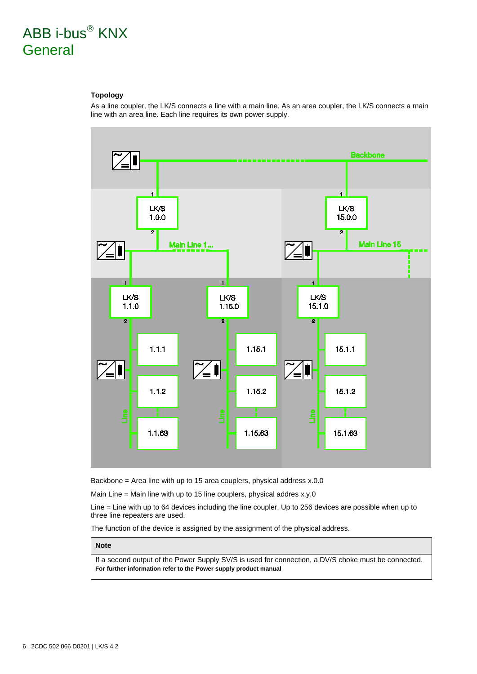# ABB i-bus<sup>®</sup> KNX General

#### **Topology**

As a line coupler, the LK/S connects a line with a main line. As an area coupler, the LK/S connects a main line with an area line. Each line requires its own power supply.



Backbone = Area line with up to 15 area couplers, physical address x.0.0

Main Line = Main line with up to 15 line couplers, physical addres x.y.0

Line = Line with up to 64 devices including the line coupler. Up to 256 devices are possible when up to three line repeaters are used.

The function of the device is assigned by the assignment of the physical address.

#### **Note**

If a second output of the Power Supply SV/S is used for connection, a DV/S choke must be connected. **For further information refer to the Power supply product manual**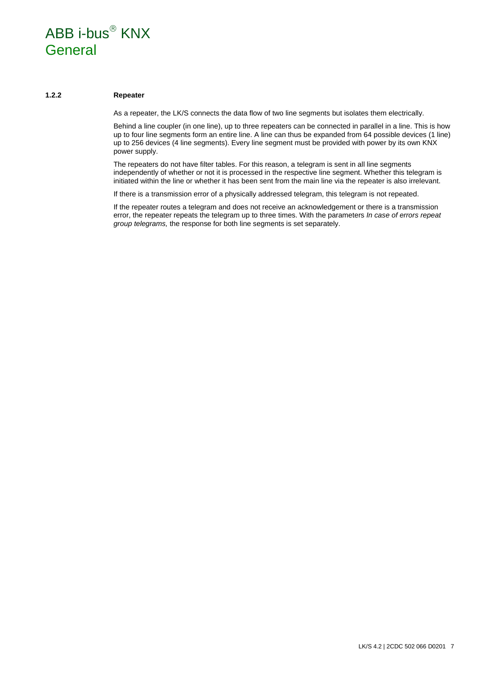### $ABB$  i-bus $^{\circledR}$  KNX General

#### <span id="page-8-0"></span>**1.2.2 Repeater**

As a repeater, the LK/S connects the data flow of two line segments but isolates them electrically.

Behind a line coupler (in one line), up to three repeaters can be connected in parallel in a line. This is how up to four line segments form an entire line. A line can thus be expanded from 64 possible devices (1 line) up to 256 devices (4 line segments). Every line segment must be provided with power by its own KNX power supply.

The repeaters do not have filter tables. For this reason, a telegram is sent in all line segments independently of whether or not it is processed in the respective line segment. Whether this telegram is initiated within the line or whether it has been sent from the main line via the repeater is also irrelevant.

If there is a transmission error of a physically addressed telegram, this telegram is not repeated.

If the repeater routes a telegram and does not receive an acknowledgement or there is a transmission error, the repeater repeats the telegram up to three times. With the parameters *In case of errors repeat group telegrams,* the response for both line segments is set separately.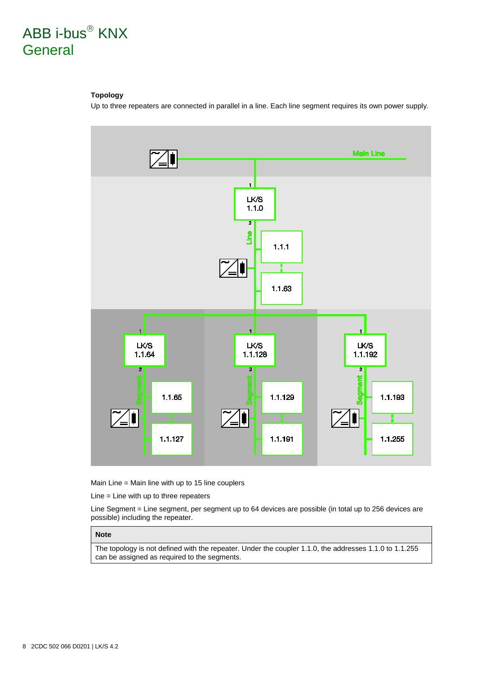### ABB i-bus<sup>®</sup> KNX **General**

#### **Topology**

Up to three repeaters are connected in parallel in a line. Each line segment requires its own power supply.



Main Line = Main line with up to 15 line couplers

Line = Line with up to three repeaters

Line Segment = Line segment, per segment up to 64 devices are possible (in total up to 256 devices are possible) including the repeater.

#### **Note**

The topology is not defined with the repeater. Under the coupler 1.1.0, the addresses 1.1.0 to 1.1.255 can be assigned as required to the segments.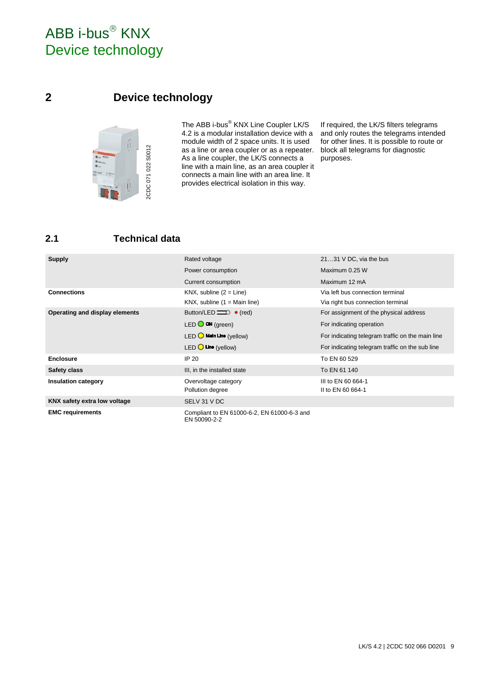# ABB i-bus<sup>®</sup> KNX Device technology

### <span id="page-10-0"></span>**2 Device technology**



The ABB i-bus® KNX Line Coupler LK/S 4.2 is a modular installation device with a module width of 2 space units. It is used as a line or area coupler or as a repeater. As a line coupler, the LK/S connects a line with a main line, as an area coupler it connects a main line with an area line. It provides electrical isolation in this way.

If required, the LK/S filters telegrams and only routes the telegrams intended for other lines. It is possible to route or block all telegrams for diagnostic purposes.

### <span id="page-10-1"></span>**2.1 Technical data**

| <b>Supply</b>                  | Rated voltage                                               | 2131 V DC, via the bus                           |
|--------------------------------|-------------------------------------------------------------|--------------------------------------------------|
|                                | Power consumption                                           | Maximum 0.25 W                                   |
|                                | Current consumption                                         | Maximum 12 mA                                    |
| <b>Connections</b>             | KNX, subline $(2 = Line)$                                   | Via left bus connection terminal                 |
|                                | KNX, subline $(1 = \text{Main line})$                       | Via right bus connection terminal                |
| Operating and display elements | Button/LED $\Box$ (red)                                     | For assignment of the physical address           |
|                                | $LED$ ON (green)                                            | For indicating operation                         |
|                                | LED $\bigcirc$ Main Line (yellow)                           | For indicating telegram traffic on the main line |
|                                | LED $\bigcirc$ Line (yellow)                                | For indicating telegram traffic on the sub line  |
| <b>Enclosure</b>               | IP 20                                                       | To EN 60 529                                     |
| <b>Safety class</b>            | III, in the installed state                                 | To EN 61 140                                     |
| <b>Insulation category</b>     | Overvoltage category<br>Pollution degree                    | III to EN 60 664-1<br>II to EN 60 664-1          |
| KNX safety extra low voltage   | SELV 31 V DC                                                |                                                  |
| <b>EMC requirements</b>        | Compliant to EN 61000-6-2, EN 61000-6-3 and<br>EN 50090-2-2 |                                                  |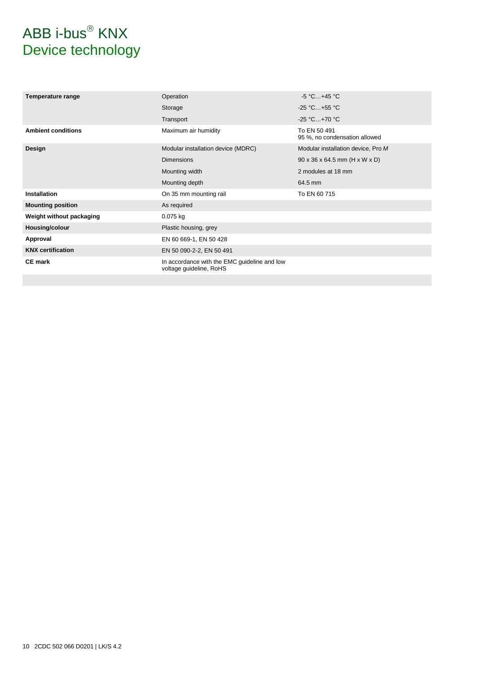# $ABB$  i-bus $^{\circledR}$  KNX Device technology

| Temperature range         | Operation                                                               | $-5 °C+45 °C$                                 |
|---------------------------|-------------------------------------------------------------------------|-----------------------------------------------|
|                           | Storage                                                                 | $-25 °C+55 °C$                                |
|                           | Transport                                                               | $-25 °C+70 °C$                                |
| <b>Ambient conditions</b> | Maximum air humidity                                                    | To EN 50 491<br>95 %, no condensation allowed |
| Design                    | Modular installation device (MDRC)                                      | Modular installation device, Pro M            |
|                           | <b>Dimensions</b>                                                       | $90 \times 36 \times 64.5$ mm (H x W x D)     |
|                           | Mounting width                                                          | 2 modules at 18 mm                            |
|                           | Mounting depth                                                          | 64.5 mm                                       |
| <b>Installation</b>       | On 35 mm mounting rail                                                  | To EN 60 715                                  |
| <b>Mounting position</b>  | As required                                                             |                                               |
| Weight without packaging  | $0.075$ kg                                                              |                                               |
| Housing/colour            | Plastic housing, grey                                                   |                                               |
| Approval                  | EN 60 669-1, EN 50 428                                                  |                                               |
| <b>KNX</b> certification  | EN 50 090-2-2, EN 50 491                                                |                                               |
| <b>CE mark</b>            | In accordance with the EMC guideline and low<br>voltage guideline, RoHS |                                               |
|                           |                                                                         |                                               |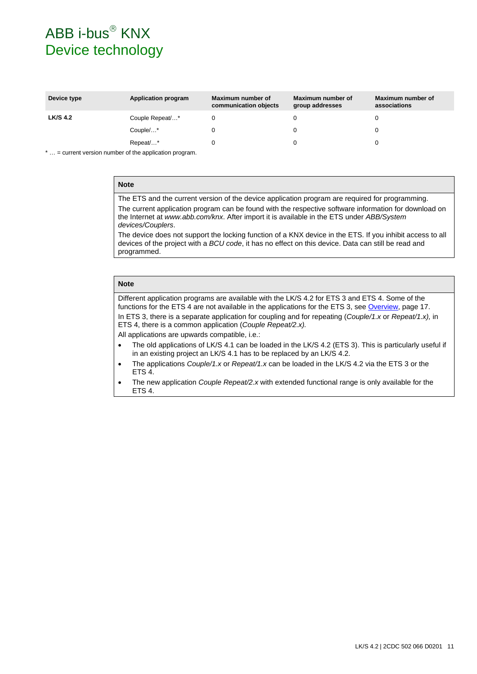### $ABB$  i-bus $^{\circledR}$  KNX Device technology

| Device type     | <b>Application program</b> | Maximum number of<br>communication objects | Maximum number of<br>group addresses | Maximum number of<br>associations |
|-----------------|----------------------------|--------------------------------------------|--------------------------------------|-----------------------------------|
| <b>LK/S 4.2</b> | Couple Repeat/*            |                                            |                                      |                                   |
|                 | Couple/*                   |                                            |                                      |                                   |
|                 | Repeat/*                   |                                            |                                      |                                   |

\* … = current version number of the application program.

#### **Note**

The ETS and the current version of the device application program are required for programming. The current application program can be found with the respective software information for download on the Internet at *[www.abb.com/knx](http://www.abb.com/knx)*. After import it is available in the ETS under *ABB/System devices/Couplers*.

The device does not support the locking function of a KNX device in the ETS. If you inhibit access to all devices of the project with a *BCU code*, it has no effect on this device. Data can still be read and programmed.

#### **Note**

Different application programs are available with the LK/S 4.2 for ETS 3 and ETS 4. Some of the functions for the ETS 4 are not available in the applications for the ETS 3, se[e Overview,](#page-18-1) page [17.](#page-18-1)

In ETS 3, there is a separate application for coupling and for repeating (*Couple/1.x* or *Repeat/1.x),* in ETS 4, there is a common application (*Couple Repeat/2.x).*

All applications are upwards compatible, i.e.:

- The old applications of LK/S 4.1 can be loaded in the LK/S 4.2 (ETS 3). This is particularly useful if in an existing project an LK/S 4.1 has to be replaced by an LK/S 4.2.
- The applications *Couple/1.x* or *Repeat/1.x* can be loaded in the LK/S 4.2 via the ETS 3 or the ETS 4.
- The new application *Couple Repeat/2.x* with extended functional range is only available for the ETS 4.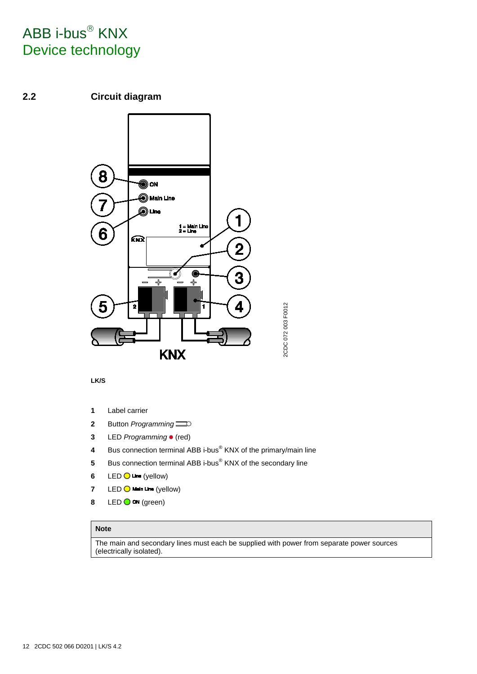# ABB i-bus<sup>®</sup> KNX Device technology

### <span id="page-13-0"></span>**2.2 Circuit diagram**



#### **LK/S**

- **1** Label carrier
- **2** Button *Programming*
- **3** LED *Programming* (red)
- **4** Bus connection terminal ABB i-bus® KNX of the primary/main line
- **5** Bus connection terminal ABB i-bus<sup>®</sup> KNX of the secondary line
- 6  $LED$   $Q$   $Line$  (yellow)
- **7** LED  $\bigcirc$  Main Line (yellow)
- 8 LED  $\bigcirc$  on (green)

#### **Note**

The main and secondary lines must each be supplied with power from separate power sources (electrically isolated).

2CDC 072 003 F0012

2CDC 072 003 F0012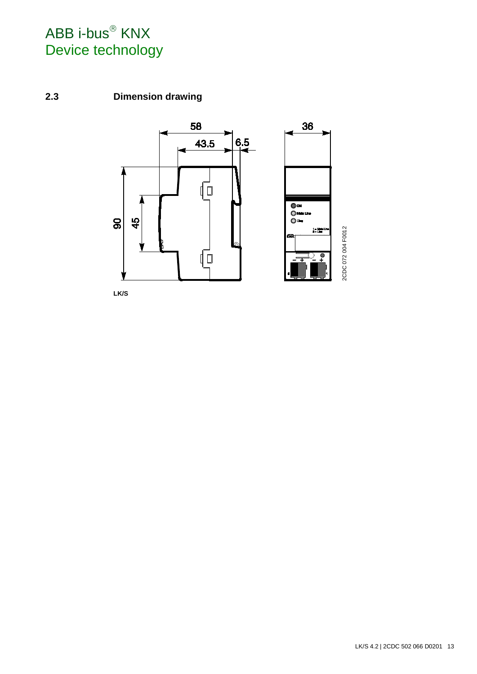# $ABB$  i-bus $^{\circledR}$  KNX Device technology

### <span id="page-14-0"></span>**2.3 Dimension drawing**



**LK/S**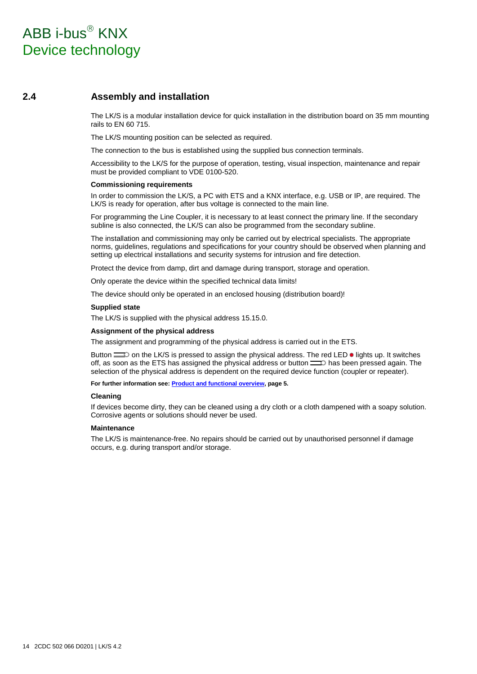### $ABB$  i-bus $^{\circledR}$  KNX Device technology

#### <span id="page-15-0"></span>**2.4 Assembly and installation**

The LK/S is a modular installation device for quick installation in the distribution board on 35 mm mounting rails to EN 60 715.

The LK/S mounting position can be selected as required.

The connection to the bus is established using the supplied bus connection terminals.

Accessibility to the LK/S for the purpose of operation, testing, visual inspection, maintenance and repair must be provided compliant to VDE 0100-520.

#### **Commissioning requirements**

In order to commission the LK/S, a PC with ETS and a KNX interface, e.g. USB or IP, are required. The LK/S is ready for operation, after bus voltage is connected to the main line.

For programming the Line Coupler, it is necessary to at least connect the primary line. If the secondary subline is also connected, the LK/S can also be programmed from the secondary subline.

The installation and commissioning may only be carried out by electrical specialists. The appropriate norms, guidelines, regulations and specifications for your country should be observed when planning and setting up electrical installations and security systems for intrusion and fire detection.

Protect the device from damp, dirt and damage during transport, storage and operation.

Only operate the device within the specified technical data limits!

The device should only be operated in an enclosed housing (distribution board)!

#### **Supplied state**

The LK/S is supplied with the physical address 15.15.0.

#### **Assignment of the physical address**

The assignment and programming of the physical address is carried out in the ETS.

Button  $\equiv$  on the LK/S is pressed to assign the physical address. The red LED  $\bullet$  lights up. It switches off, as soon as the ETS has assigned the physical address or button  $\equiv 0$  has been pressed again. The selection of the physical address is dependent on the required device function (coupler or repeater).

**For further information see[: Product and functional overview,](#page-6-0) page [5.](#page-6-0)**

#### **Cleaning**

If devices become dirty, they can be cleaned using a dry cloth or a cloth dampened with a soapy solution. Corrosive agents or solutions should never be used.

#### **Maintenance**

The LK/S is maintenance-free. No repairs should be carried out by unauthorised personnel if damage occurs, e.g. during transport and/or storage.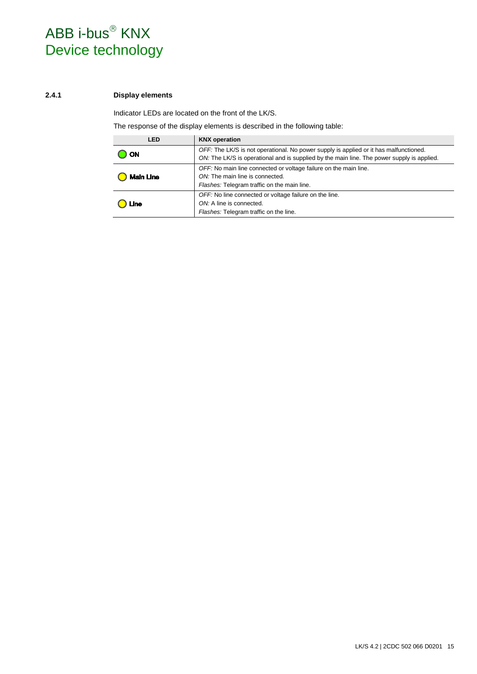# ABB i-bus<sup>®</sup> KNX Device technology

#### <span id="page-16-0"></span>**2.4.1 Display elements**

Indicator LEDs are located on the front of the LK/S.

The response of the display elements is described in the following table:

| LED              | <b>KNX</b> operation                                                                                                                                                                |
|------------------|-------------------------------------------------------------------------------------------------------------------------------------------------------------------------------------|
| <b>ON</b>        | OFF: The LK/S is not operational. No power supply is applied or it has malfunctioned.<br>ON: The LK/S is operational and is supplied by the main line. The power supply is applied. |
| <b>Main Line</b> | OFF: No main line connected or voltage failure on the main line.<br>ON: The main line is connected.<br>Flashes: Telegram traffic on the main line.                                  |
| Line             | OFF: No line connected or voltage failure on the line.<br>ON: A line is connected.<br>Flashes: Telegram traffic on the line.                                                        |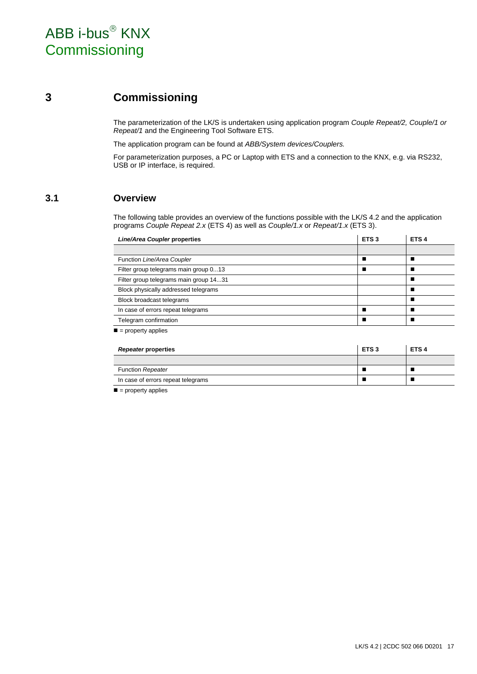### <span id="page-18-0"></span>**3 Commissioning**

The parameterization of the LK/S is undertaken using application program *Couple Repeat/2, Couple/1 or Repeat/1* and the Engineering Tool Software ETS.

The application program can be found at *ABB/System devices/Couplers.*

For parameterization purposes, a PC or Laptop with ETS and a connection to the KNX, e.g. via RS232, USB or IP interface, is required.

### <span id="page-18-1"></span>**3.1 Overview**

The following table provides an overview of the functions possible with the LK/S 4.2 and the application programs *Couple Repeat 2.x* (ETS 4) as well as *Couple/1.x* or *Repeat/1.x* (ETS 3).

| Line/Area Coupler properties           | ETS <sub>3</sub> | ETS <sub>4</sub> |
|----------------------------------------|------------------|------------------|
|                                        |                  |                  |
| Function Line/Area Coupler             |                  |                  |
| Filter group telegrams main group 013  |                  |                  |
| Filter group telegrams main group 1431 |                  |                  |
| Block physically addressed telegrams   |                  |                  |
| Block broadcast telegrams              |                  |                  |
| In case of errors repeat telegrams     |                  |                  |
| Telegram confirmation                  |                  |                  |

 $\blacksquare$  = property applies

| Repeater properties                | <b>ETS3</b> | ETS <sub>4</sub> |
|------------------------------------|-------------|------------------|
|                                    |             |                  |
| <b>Function Repeater</b>           |             |                  |
| In case of errors repeat telegrams |             |                  |

 $\blacksquare$  = property applies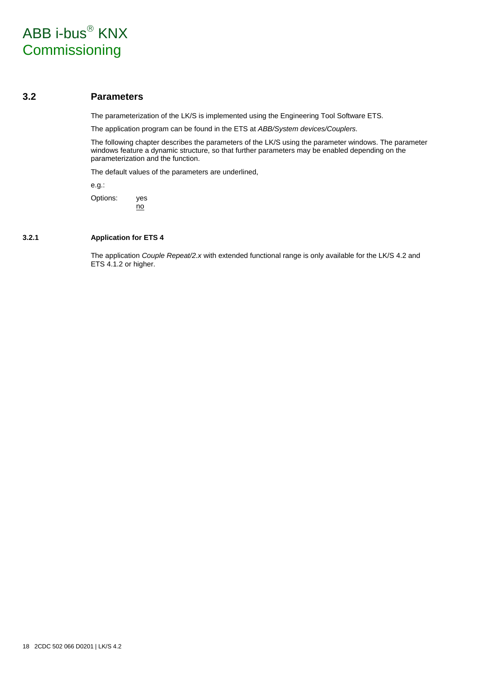#### <span id="page-19-0"></span>**3.2 Parameters**

The parameterization of the LK/S is implemented using the Engineering Tool Software ETS.

The application program can be found in the ETS at *ABB/System devices/Couplers.*

The following chapter describes the parameters of the LK/S using the parameter windows. The parameter windows feature a dynamic structure, so that further parameters may be enabled depending on the parameterization and the function.

The default values of the parameters are underlined,

e.g.:

Options: yes no

#### <span id="page-19-1"></span>**3.2.1 Application for ETS 4**

The application *Couple Repeat/2.x* with extended functional range is only available for the LK/S 4.2 and ETS 4.1.2 or higher.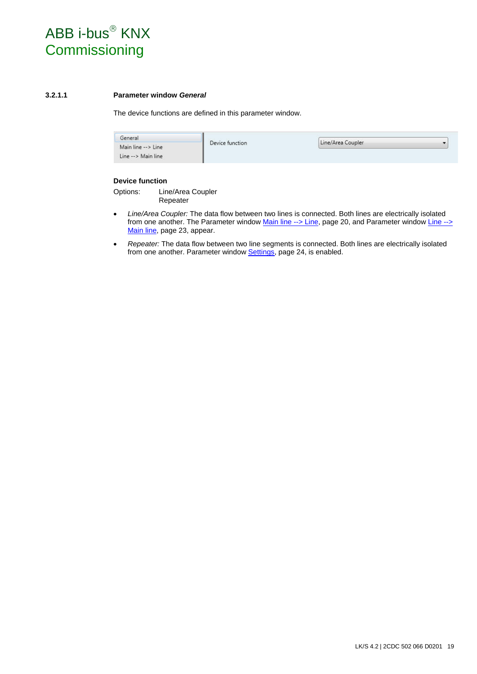#### <span id="page-20-0"></span>**3.2.1.1 Parameter window** *General*

The device functions are defined in this parameter window.

| General            |                 |                   |  |
|--------------------|-----------------|-------------------|--|
| Main line --> Line | Device function | Line/Area Coupler |  |
| Line --> Main line |                 |                   |  |

#### **Device function**

Options: Line/Area Coupler Repeater

- *Line/Area Coupler:* The data flow between two lines is connected. Both lines are electrically isolated from one another. The [Parameter window Main line --> Line,](#page-21-1) page [20,](#page-21-1) and Parameter window Line --> [Main line,](#page-24-0) page [23,](#page-24-0) appear.
- *Repeater:* The data flow between two line segments is connected. Both lines are electrically isolated from one another. [Parameter window Settings,](#page-25-1) page [24,](#page-25-1) is enabled.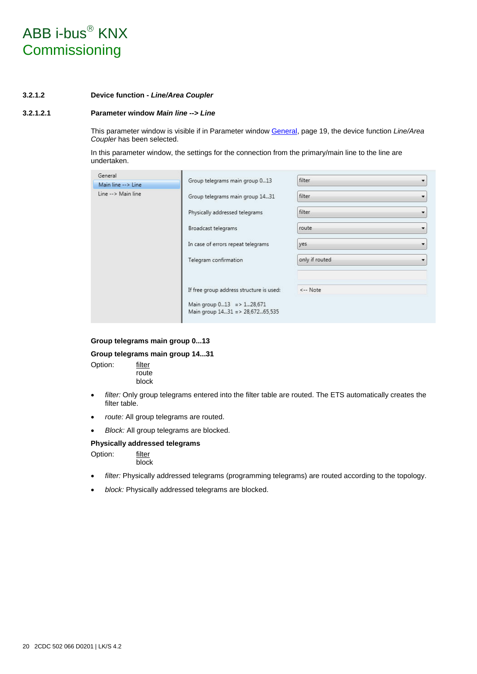#### <span id="page-21-0"></span>**3.2.1.2 Device function -** *Line/Area Coupler*

#### <span id="page-21-1"></span>**3.2.1.2.1 Parameter window** *Main line --> Line*

This parameter window is visible if in [Parameter window General,](#page-20-0) pag[e 19,](#page-20-0) the device function *Line/Area Coupler* has been selected.

In this parameter window, the settings for the connection from the primary/main line to the line are undertaken.

| General            |                                                              | filter         |              |  |
|--------------------|--------------------------------------------------------------|----------------|--------------|--|
| Main line --> Line | Group telegrams main group 013                               |                |              |  |
| Line --> Main line | Group telegrams main group 1431                              | filter         |              |  |
|                    | Physically addressed telegrams                               | filter         |              |  |
|                    | Broadcast telegrams                                          | route          |              |  |
|                    | In case of errors repeat telegrams                           | yes            | $\mathbf{r}$ |  |
|                    | Telegram confirmation                                        | only if routed |              |  |
|                    | If free group address structure is used:                     | <-- Note       |              |  |
|                    | Main group 013 => 128,671<br>Main group 1431 => 28,67265,535 |                |              |  |

#### **Group telegrams main group 0...13**

#### **Group telegrams main group 14...31**

Option: filter route block

- filter: Only group telegrams entered into the filter table are routed. The ETS automatically creates the filter table.
- *route:* All group telegrams are routed.
- *Block:* All group telegrams are blocked.

#### **Physically addressed telegrams**

Option: filter block

- *filter:* Physically addressed telegrams (programming telegrams) are routed according to the topology.
- *block:* Physically addressed telegrams are blocked.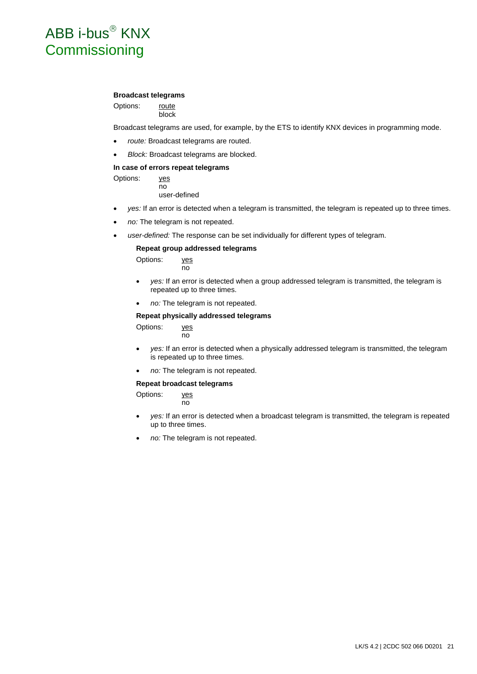#### **Broadcast telegrams**

Options: route block

Broadcast telegrams are used, for example, by the ETS to identify KNX devices in programming mode.

- *route:* Broadcast telegrams are routed.
- *Block:* Broadcast telegrams are blocked.

#### **In case of errors repeat telegrams**

Options: yes no user-defined

- *yes:* If an error is detected when a telegram is transmitted, the telegram is repeated up to three times.
- *no:* The telegram is not repeated.
- *user-defined:* The response can be set individually for different types of telegram.

#### **Repeat group addressed telegrams**

Options: yes no

- *yes:* If an error is detected when a group addressed telegram is transmitted, the telegram is repeated up to three times.
- *no:* The telegram is not repeated.

#### **Repeat physically addressed telegrams**

Options: yes no

- *yes:* If an error is detected when a physically addressed telegram is transmitted, the telegram is repeated up to three times.
- *no:* The telegram is not repeated.

#### **Repeat broadcast telegrams**

no

Options: yes

- *yes:* If an error is detected when a broadcast telegram is transmitted, the telegram is repeated up to three times.
- *no:* The telegram is not repeated.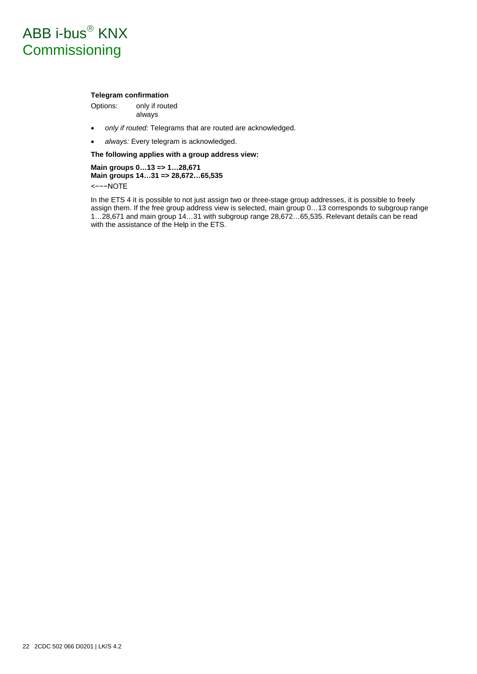#### **Telegram confirmation**

Options: only if routed always

- *only if routed:* Telegrams that are routed are acknowledged.
- *always:* Every telegram is acknowledged.

**The following applies with a group address view:**

**Main groups 0…13 => 1…28,671 Main groups 14…31 => 28,672…65,535** <−−−NOTE

In the ETS 4 it is possible to not just assign two or three-stage group addresses, it is possible to freely assign them. If the free group address view is selected, main group 0…13 corresponds to subgroup range 1…28,671 and main group 14…31 with subgroup range 28,672…65,535. Relevant details can be read with the assistance of the Help in the ETS.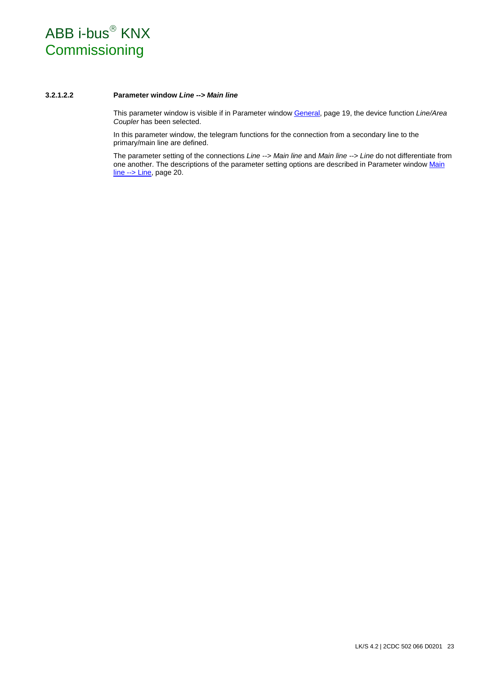#### <span id="page-24-0"></span>**3.2.1.2.2 Parameter window** *Line --> Main line*

This parameter window is visible if in [Parameter window General,](#page-20-0) page [19,](#page-20-0) the device function *Line/Area Coupler* has been selected.

In this parameter window, the telegram functions for the connection from a secondary line to the primary/main line are defined.

The parameter setting of the connections *Line --> Main line* and *Main line --> Line* do not differentiate from one another. The descriptions of the parameter setting options are described in Parameter window Main [line --> Line,](#page-21-1) pag[e 20.](#page-21-1)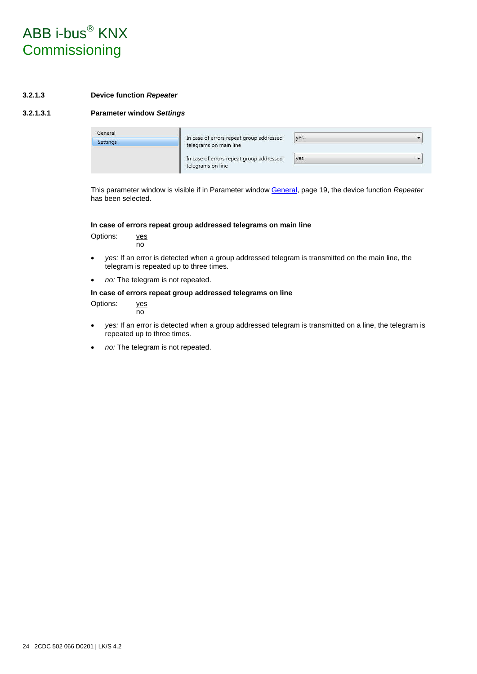#### <span id="page-25-0"></span>**3.2.1.3 Device function** *Repeater*

#### <span id="page-25-1"></span>**3.2.1.3.1 Parameter window** *Settings*

| General  |                                                                    |            |  |
|----------|--------------------------------------------------------------------|------------|--|
| Settings | In case of errors repeat group addressed<br>telegrams on main line | yes        |  |
|          | In case of errors repeat group addressed                           | <b>yes</b> |  |
|          | telegrams on line                                                  |            |  |

This parameter window is visible if in [Parameter window General,](#page-20-0) pag[e 19,](#page-20-0) the device function *Repeater* has been selected.

#### **In case of errors repeat group addressed telegrams on main line**

Options: yes no

- *yes:* If an error is detected when a group addressed telegram is transmitted on the main line, the telegram is repeated up to three times.
- *no:* The telegram is not repeated.

#### **In case of errors repeat group addressed telegrams on line**

Options: yes

- no
- *yes:* If an error is detected when a group addressed telegram is transmitted on a line, the telegram is repeated up to three times.
- *no:* The telegram is not repeated.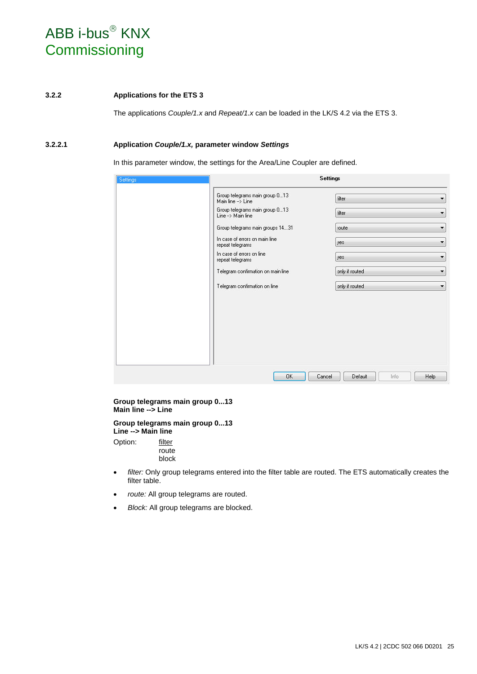#### <span id="page-26-0"></span>**3.2.2 Applications for the ETS 3**

The applications *Couple/1.x* and *Repeat/1.x* can be loaded in the LK/S 4.2 via the ETS 3.

#### <span id="page-26-1"></span>**3.2.2.1 Application** *Couple/1.x,* **parameter window** *Settings*

In this parameter window, the settings for the Area/Line Coupler are defined.

| Settings |                                                                                                                                                                                                  | <b>Settings</b>                        |
|----------|--------------------------------------------------------------------------------------------------------------------------------------------------------------------------------------------------|----------------------------------------|
|          | Group telegrams main group 013<br>Main line --> Line                                                                                                                                             | filter<br>$\blacktriangledown$         |
|          | Group telegrams main group 013<br>Line -- > Main line<br>Group telegrams main groups 1431<br>In case of errors on main line<br>repeat telegrams<br>In case of errors on line<br>repeat telegrams | filter<br>$\blacktriangledown$         |
|          |                                                                                                                                                                                                  | route<br>$\blacktriangledown$          |
|          |                                                                                                                                                                                                  | $\overline{\phantom{a}}$<br>yes        |
|          |                                                                                                                                                                                                  | yes<br>$\blacktriangledown$            |
|          | Telegram confirmation on main line                                                                                                                                                               | only if routed                         |
|          | Telegram confirmation on line                                                                                                                                                                    | only if routed<br>$\blacktriangledown$ |
|          |                                                                                                                                                                                                  |                                        |
|          |                                                                                                                                                                                                  |                                        |
|          | <b>OK</b>                                                                                                                                                                                        | Cancel<br>Help<br>Default<br>Info      |

#### **Group telegrams main group 0...13 Main line --> Line**

**Group telegrams main group 0...13 Line --> Main line**

Option: filter route block

- *filter:* Only group telegrams entered into the filter table are routed. The ETS automatically creates the filter table.
- *route:* All group telegrams are routed.
- *Block:* All group telegrams are blocked.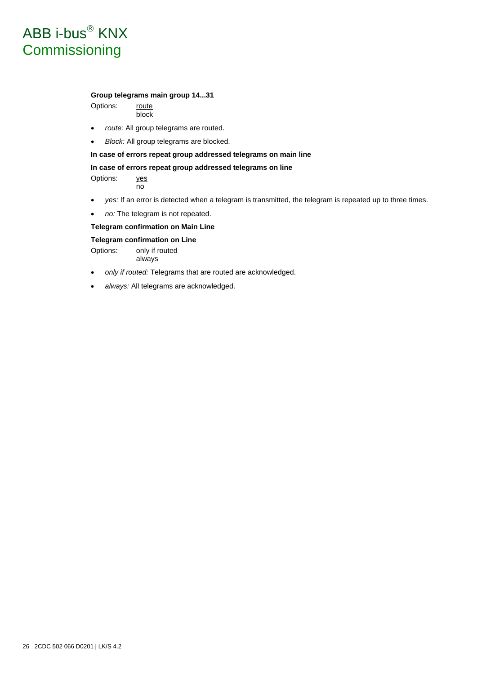#### **Group telegrams main group 14...31**

Options: route block

- *route:* All group telegrams are routed.
- *Block:* All group telegrams are blocked.

#### **In case of errors repeat group addressed telegrams on main line**

#### **In case of errors repeat group addressed telegrams on line**

Options: yes no

- *yes:* If an error is detected when a telegram is transmitted, the telegram is repeated up to three times.
- *no:* The telegram is not repeated.

#### **Telegram confirmation on Main Line**

#### **Telegram confirmation on Line**

Options: only if routed always

- *only if routed:* Telegrams that are routed are acknowledged.
- *always:* All telegrams are acknowledged.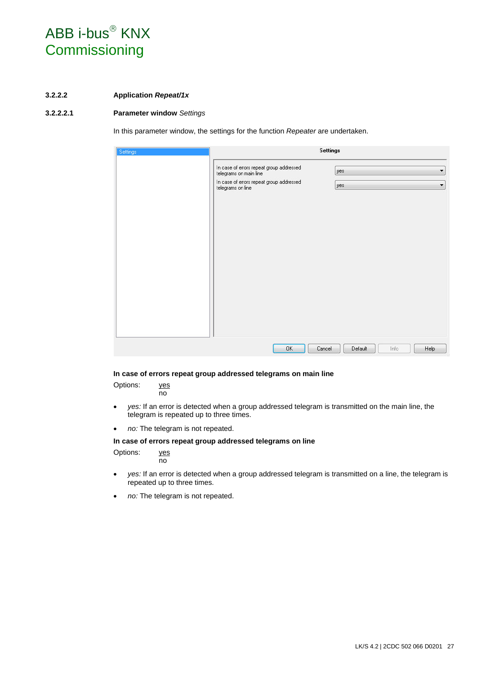#### <span id="page-28-0"></span>**3.2.2.2 Application** *Repeat/1x*

#### <span id="page-28-1"></span>**3.2.2.2.1 Parameter window** *Settings*

In this parameter window, the settings for the function *Repeater* are undertaken.

| Settings |                                                                    | <b>Settings</b> |         |      |                          |
|----------|--------------------------------------------------------------------|-----------------|---------|------|--------------------------|
|          | In case of errors repeat group addressed<br>telegrams on main line | yes             |         |      | $\overline{\phantom{a}}$ |
|          | In case of errors repeat group addressed<br>telegrams on line      | yes             |         |      | $\overline{\phantom{a}}$ |
|          |                                                                    |                 |         |      |                          |
|          |                                                                    |                 |         |      |                          |
|          |                                                                    |                 |         |      |                          |
|          |                                                                    |                 |         |      |                          |
|          |                                                                    |                 |         |      |                          |
|          |                                                                    |                 |         |      |                          |
|          |                                                                    |                 |         |      |                          |
|          |                                                                    |                 |         |      |                          |
|          | OK                                                                 | Cancel          | Default | Info | Help                     |

#### **In case of errors repeat group addressed telegrams on main line**

Options: yes

no

- *yes:* If an error is detected when a group addressed telegram is transmitted on the main line, the telegram is repeated up to three times.
- *no:* The telegram is not repeated.

#### **In case of errors repeat group addressed telegrams on line**

Options: yes no

- *yes:* If an error is detected when a group addressed telegram is transmitted on a line, the telegram is repeated up to three times.
- *no:* The telegram is not repeated.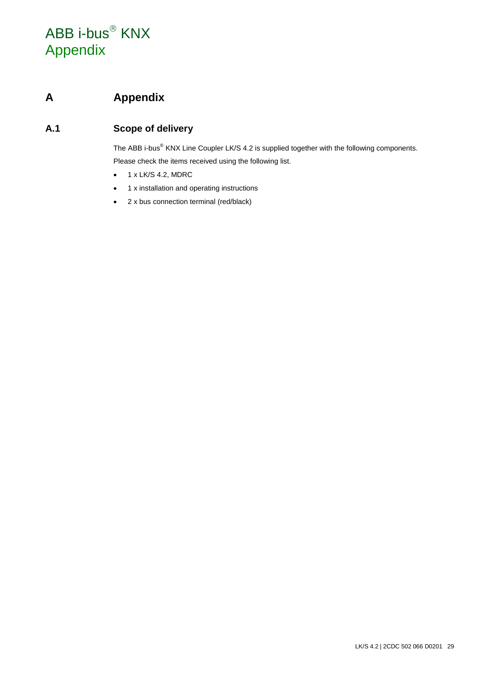# ABB i-bus<sup>®</sup> KNX Appendix

### <span id="page-30-0"></span>**A Appendix**

### <span id="page-30-1"></span>**A.1 Scope of delivery**

The ABB i-bus<sup>®</sup> KNX Line Coupler LK/S 4.2 is supplied together with the following components. Please check the items received using the following list.

- $\bullet$  1 x LK/S 4.2, MDRC
- 1 x installation and operating instructions
- 2 x bus connection terminal (red/black)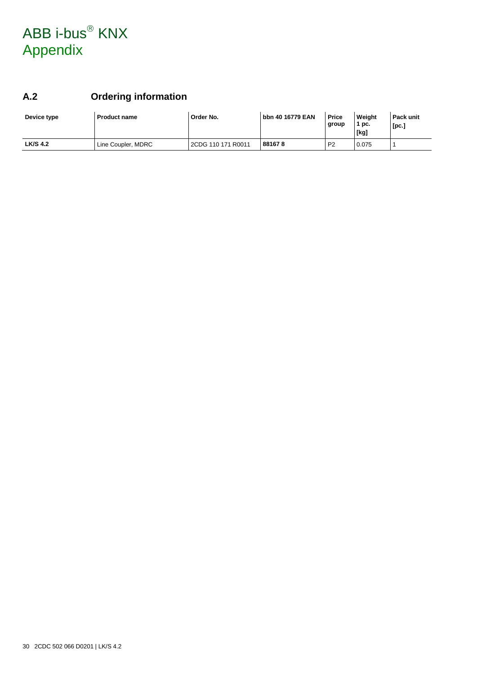# ABB i-bus<sup>®</sup> KNX Appendix

### <span id="page-31-0"></span>**A.2 Ordering information**

| Device type     | <b>Product name</b> | Order No.          | l bbn 40 16779 EAN | <b>Price</b><br>group | Weight<br>1 pc.<br>[kg] | Pack unit<br>[pc.] |
|-----------------|---------------------|--------------------|--------------------|-----------------------|-------------------------|--------------------|
| <b>LK/S 4.2</b> | Line Coupler, MDRC  | 2CDG 110 171 R0011 | 881678             | P <sub>2</sub>        | 0.075                   |                    |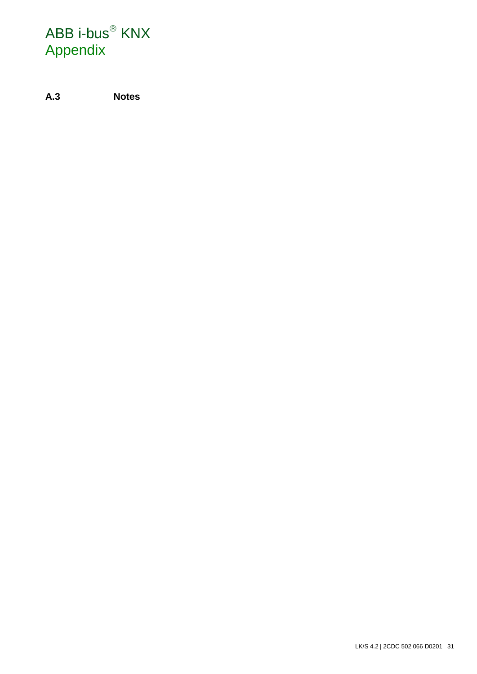# ABB i-bus<sup>®</sup> KNX Appendix

<span id="page-32-0"></span>**A.3 Notes**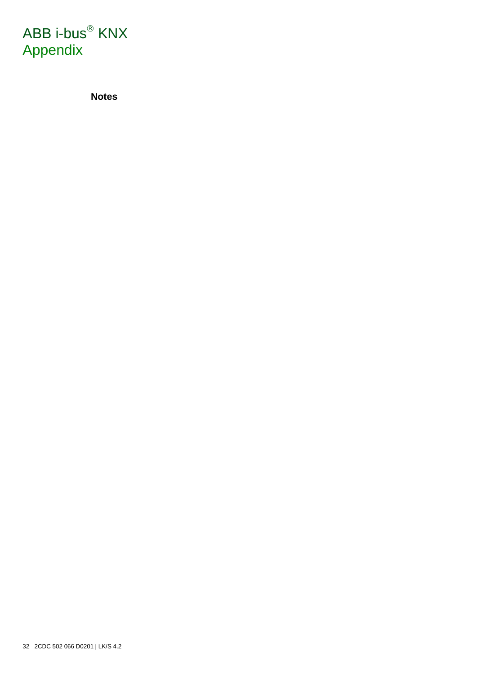

**Notes**